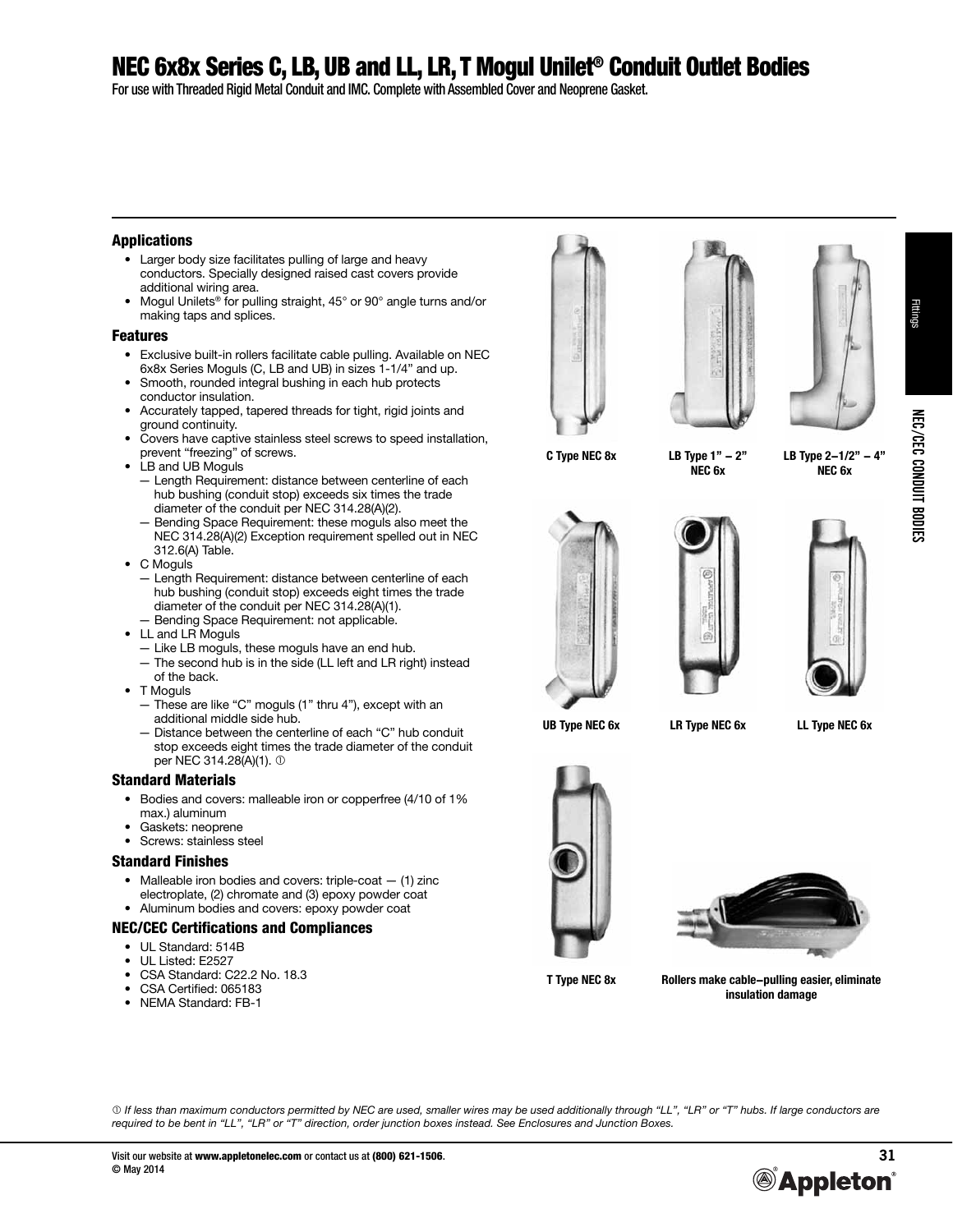### NEC 6x8x Series C, LB, UB and LL, LR, T Mogul Unilet® Conduit Outlet Bodies

For use with Threaded Rigid Metal Conduit and IMC. Complete with Assembled Cover and Neoprene Gasket.

#### Applications

- Larger body size facilitates pulling of large and heavy conductors. Specially designed raised cast covers provide additional wiring area.
- Mogul Unilets<sup>®</sup> for pulling straight, 45° or 90° angle turns and/or making taps and splices.

#### Features

- Exclusive built-in rollers facilitate cable pulling. Available on NEC 6x8x Series Moguls (C, LB and UB) in sizes 1-1/4" and up.
- Smooth, rounded integral bushing in each hub protects conductor insulation.
- Accurately tapped, tapered threads for tight, rigid joints and ground continuity.
- Covers have captive stainless steel screws to speed installation, prevent "freezing" of screws.
- LB and UB Moguls
	- Length Requirement: distance between centerline of each hub bushing (conduit stop) exceeds six times the trade diameter of the conduit per NEC 314.28(A)(2).
	- Bending Space Requirement: these moguls also meet the NEC 314.28(A)(2) Exception requirement spelled out in NEC 312.6(A) Table.
- C Moguls
	- Length Requirement: distance between centerline of each hub bushing (conduit stop) exceeds eight times the trade diameter of the conduit per NEC 314.28(A)(1).
- Bending Space Requirement: not applicable.
- LL and LR Moguls
	- Like LB moguls, these moguls have an end hub. — The second hub is in the side (LL left and LR right) instead
- of the back.
- T Moguls
	- These are like "C" moguls (1" thru 4"), except with an additional middle side hub.
	- Distance between the centerline of each "C" hub conduit stop exceeds eight times the trade diameter of the conduit per NEC 314.28(A)(1).

#### Standard Materials

- Bodies and covers: malleable iron or copperfree (4/10 of 1% max.) aluminum
- Gaskets: neoprene
- Screws: stainless steel

#### Standard Finishes

- Malleable iron bodies and covers: triple-coat  $-$  (1) zinc electroplate, (2) chromate and (3) epoxy powder coat
- Aluminum bodies and covers: epoxy powder coat

#### NEC/CEC Certifications and Compliances

- UL Standard: 514B
- UL Listed: E2527
- CSA Standard: C22.2 No. 18.3
- CSA Certified: 065183
- NEMA Standard: FB-1







**C Type NEC 8x LB Type 1" - 2" NEC 6x**

**LB Type 2-1/2" - 4" NEC 6x**







**UB Type NEC 6x LR Type NEC 6x LL Type NEC 6x**





**T Type NEC 8x Rollers make cable-pulling easier, eliminate insulation damage**

 *If less than maximum conductors permitted by NEC are used, smaller wires may be used additionally through "LL", "LR" or "T" hubs. If large conductors are required to be bent in "LL", "LR" or "T" direction, order junction boxes instead. See Enclosures and Junction Boxes.*



Fittings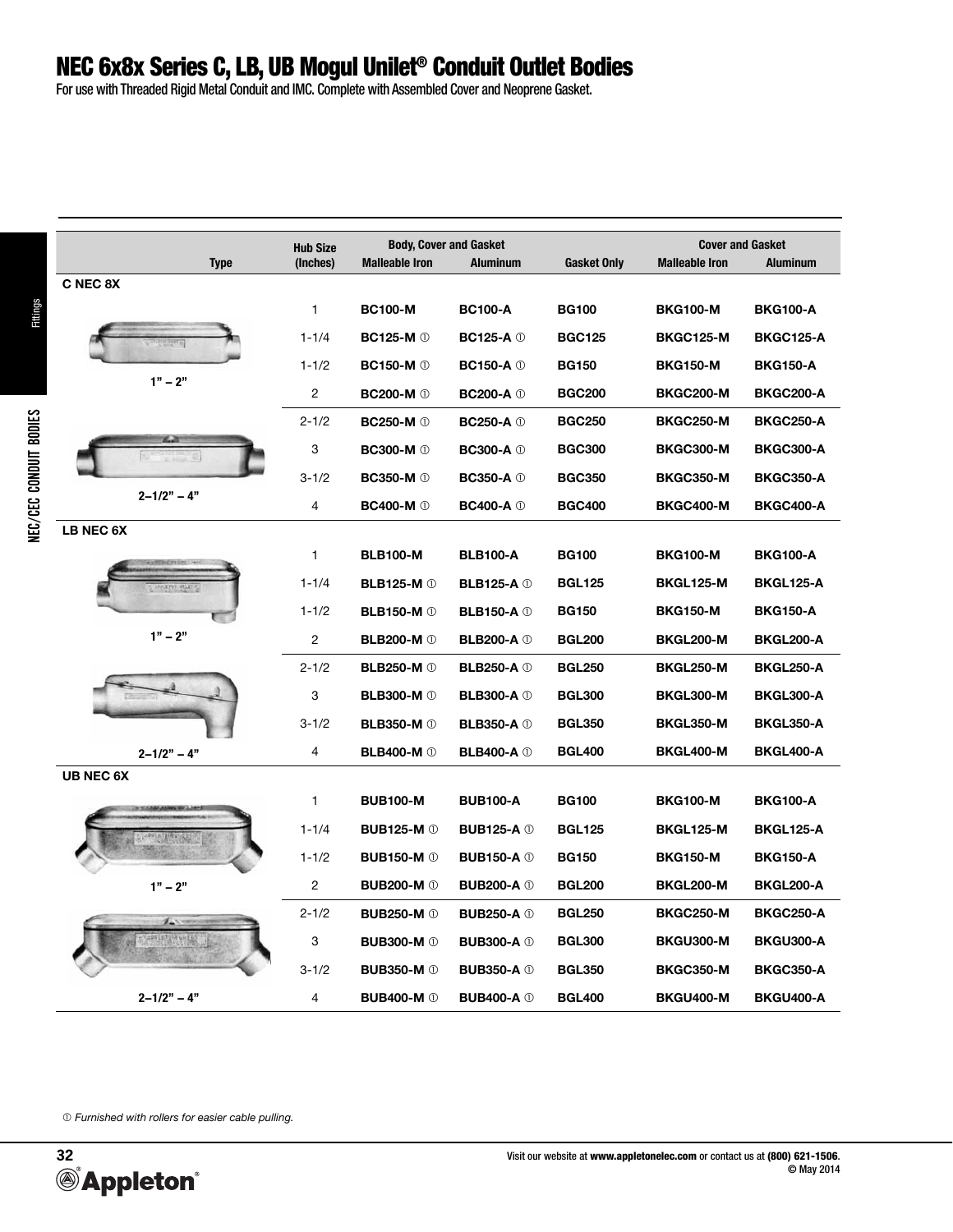## NEC 6x8x Series C, LB, UB Mogul Unilet® Conduit Outlet Bodies

For use with Threaded Rigid Metal Conduit and IMC. Complete with Assembled Cover and Neoprene Gasket.

|                       | <b>Hub Size</b> |                                | <b>Body, Cover and Gasket</b>  |                    | <b>Cover and Gasket</b> |                  |  |
|-----------------------|-----------------|--------------------------------|--------------------------------|--------------------|-------------------------|------------------|--|
| <b>Type</b>           | (Inches)        | <b>Malleable Iron</b>          | <b>Aluminum</b>                | <b>Gasket Only</b> | <b>Malleable Iron</b>   | <b>Aluminum</b>  |  |
| C NEC 8X              |                 |                                |                                |                    |                         |                  |  |
|                       | 1               | <b>BC100-M</b>                 | <b>BC100-A</b>                 | <b>BG100</b>       | <b>BKG100-M</b>         | <b>BKG100-A</b>  |  |
|                       | $1 - 1/4$       | <b>BC125-M</b> $\circledcirc$  | <b>BC125-A</b> $\oplus$        | <b>BGC125</b>      | <b>BKGC125-M</b>        | <b>BKGC125-A</b> |  |
|                       | $1 - 1/2$       | <b>BC150-M</b> <sup>0</sup>    | <b>BC150-A</b> $\oplus$        | <b>BG150</b>       | <b>BKG150-M</b>         | <b>BKG150-A</b>  |  |
| $1" - 2"$             | $\sqrt{2}$      | <b>BC200-M</b> <sup>0</sup>    | <b>BC200-A</b> <sup>(1)</sup>  | <b>BGC200</b>      | <b>BKGC200-M</b>        | <b>BKGC200-A</b> |  |
|                       | $2 - 1/2$       | <b>BC250-M</b> <sup>0</sup>    | <b>BC250-A</b> $\oplus$        | <b>BGC250</b>      | <b>BKGC250-M</b>        | <b>BKGC250-A</b> |  |
|                       | 3               | <b>BC300-M</b> <sup>(1)</sup>  | <b>BC300-A</b> <sup>(1)</sup>  | <b>BGC300</b>      | <b>BKGC300-M</b>        | BKGC300-A        |  |
|                       | $3 - 1/2$       | <b>BC350-M</b> <sup>0</sup>    | <b>BC350-A</b> <sup>1</sup>    | <b>BGC350</b>      | <b>BKGC350-M</b>        | BKGC350-A        |  |
| $2 - 1/2" - 4"$       | 4               | <b>BC400-M</b> <sup>(1)</sup>  | $BC400-A$ $@$                  | <b>BGC400</b>      | <b>BKGC400-M</b>        | <b>BKGC400-A</b> |  |
| LB NEC 6X             |                 |                                |                                |                    |                         |                  |  |
|                       | 1               | <b>BLB100-M</b>                | <b>BLB100-A</b>                | <b>BG100</b>       | <b>BKG100-M</b>         | <b>BKG100-A</b>  |  |
|                       | $1 - 1/4$       | <b>BLB125-M</b> <sup>(1)</sup> | <b>BLB125-A</b> 1              | <b>BGL125</b>      | BKGL125-M               | <b>BKGL125-A</b> |  |
|                       | $1 - 1/2$       | <b>BLB150-M</b> <sup>(1)</sup> | <b>BLB150-A</b> 1              | <b>BG150</b>       | <b>BKG150-M</b>         | <b>BKG150-A</b>  |  |
| $1" - 2"$             | 2               | <b>BLB200-M</b> <sup>0</sup>   | <b>BLB200-A</b> <sup>0</sup>   | <b>BGL200</b>      | BKGL200-M               | <b>BKGL200-A</b> |  |
|                       | $2 - 1/2$       | <b>BLB250-M</b> <sup>0</sup>   | <b>BLB250-A</b> 1              | <b>BGL250</b>      | <b>BKGL250-M</b>        | <b>BKGL250-A</b> |  |
|                       | 3               | <b>BLB300-M</b> <sup>0</sup>   | <b>BLB300-A</b> 1              | <b>BGL300</b>      | BKGL300-M               | BKGL300-A        |  |
|                       | $3 - 1/2$       | <b>BLB350-M</b> <sup>0</sup>   | <b>BLB350-A</b> <sup>1</sup>   | <b>BGL350</b>      | <b>BKGL350-M</b>        | BKGL350-A        |  |
| $2 - 1/2" - 4"$       | 4               | <b>BLB400-M</b> <sup>0</sup>   | <b>BLB400-A</b> 1              | <b>BGL400</b>      | <b>BKGL400-M</b>        | BKGL400-A        |  |
| <b>UB NEC 6X</b>      |                 |                                |                                |                    |                         |                  |  |
|                       | $\mathbf{1}$    | <b>BUB100-M</b>                | <b>BUB100-A</b>                | <b>BG100</b>       | <b>BKG100-M</b>         | <b>BKG100-A</b>  |  |
|                       | $1 - 1/4$       | <b>BUB125-M</b> <sup>0</sup>   | <b>BUB125-A</b> 1              | <b>BGL125</b>      | BKGL125-M               | <b>BKGL125-A</b> |  |
|                       | $1 - 1/2$       | <b>BUB150-M</b> <sup>0</sup>   | <b>BUB150-A</b> <sup>0</sup>   | <b>BG150</b>       | <b>BKG150-M</b>         | <b>BKG150-A</b>  |  |
| $1" - 2"$             | $\overline{c}$  | <b>BUB200-M</b> <sup>0</sup>   | <b>BUB200-A</b> <sup>(1)</sup> | <b>BGL200</b>      | <b>BKGL200-M</b>        | <b>BKGL200-A</b> |  |
|                       | $2 - 1/2$       | <b>BUB250-M</b> <sup>(1)</sup> | <b>BUB250-A</b> <sup>0</sup>   | <b>BGL250</b>      | <b>BKGC250-M</b>        | <b>BKGC250-A</b> |  |
| <b>UPPLETOM WILES</b> | 3               | <b>BUB300-M</b> <sup>0</sup>   | <b>BUB300-A</b> <sup>1</sup>   | <b>BGL300</b>      | BKGU300-M               | BKGU300-A        |  |
|                       | $3 - 1/2$       | <b>BUB350-M</b> <sup>0</sup>   | <b>BUB350-A</b> <sup>0</sup>   | <b>BGL350</b>      | <b>BKGC350-M</b>        | <b>BKGC350-A</b> |  |
| $2 - 1/2" - 4"$       | 4               | <b>BUB400-M</b> <sup>0</sup>   | <b>BUB400-A</b> <sup>1</sup>   | <b>BGL400</b>      | BKGU400-M               | BKGU400-A        |  |

 *Furnished with rollers for easier cable pulling.*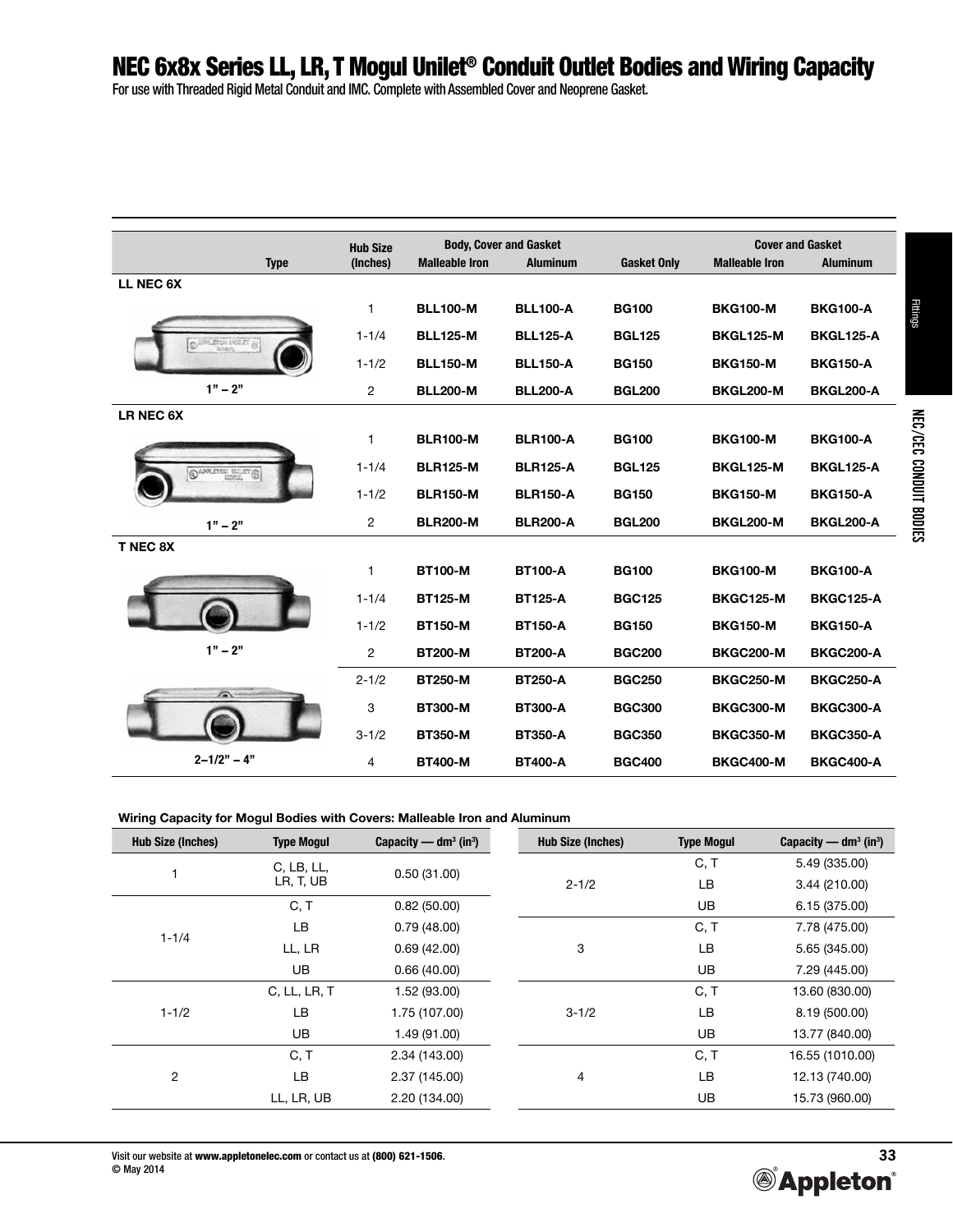For use with Threaded Rigid Metal Conduit and IMC. Complete with Assembled Cover and Neoprene Gasket.

|                         | <b>Hub Size</b> |                       | <b>Body, Cover and Gasket</b> |                    |                       | <b>Cover and Gasket</b> |
|-------------------------|-----------------|-----------------------|-------------------------------|--------------------|-----------------------|-------------------------|
| <b>Type</b>             | (Inches)        | <b>Malleable Iron</b> | <b>Aluminum</b>               | <b>Gasket Only</b> | <b>Malleable Iron</b> | <b>Aluminum</b>         |
| LL NEC 6X               |                 |                       |                               |                    |                       |                         |
|                         | 1               | <b>BLL100-M</b>       | <b>BLL100-A</b>               | <b>BG100</b>       | <b>BKG100-M</b>       | <b>BKG100-A</b>         |
| CAPLAYON INSERT (S)     | $1 - 1/4$       | <b>BLL125-M</b>       | <b>BLL125-A</b>               | <b>BGL125</b>      | BKGL125-M             | <b>BKGL125-A</b>        |
|                         | $1 - 1/2$       | <b>BLL150-M</b>       | <b>BLL150-A</b>               | <b>BG150</b>       | <b>BKG150-M</b>       | <b>BKG150-A</b>         |
| $1" - 2"$               | $\overline{2}$  | <b>BLL200-M</b>       | <b>BLL200-A</b>               | <b>BGL200</b>      | <b>BKGL200-M</b>      | <b>BKGL200-A</b>        |
| LR NEC 6X               |                 |                       |                               |                    |                       |                         |
|                         | 1               | <b>BLR100-M</b>       | <b>BLR100-A</b>               | <b>BG100</b>       | <b>BKG100-M</b>       | <b>BKG100-A</b>         |
| <b>CAPPLINGS USLING</b> | $1 - 1/4$       | <b>BLR125-M</b>       | <b>BLR125-A</b>               | <b>BGL125</b>      | <b>BKGL125-M</b>      | <b>BKGL125-A</b>        |
|                         | $1 - 1/2$       | <b>BLR150-M</b>       | <b>BLR150-A</b>               | <b>BG150</b>       | <b>BKG150-M</b>       | <b>BKG150-A</b>         |
| $1" - 2"$               | $\overline{2}$  | <b>BLR200-M</b>       | <b>BLR200-A</b>               | <b>BGL200</b>      | <b>BKGL200-M</b>      | <b>BKGL200-A</b>        |
| T NEC 8X                |                 |                       |                               |                    |                       |                         |
|                         | 1               | <b>BT100-M</b>        | <b>BT100-A</b>                | <b>BG100</b>       | <b>BKG100-M</b>       | <b>BKG100-A</b>         |
|                         | $1 - 1/4$       | <b>BT125-M</b>        | <b>BT125-A</b>                | <b>BGC125</b>      | <b>BKGC125-M</b>      | <b>BKGC125-A</b>        |
|                         | $1 - 1/2$       | <b>BT150-M</b>        | <b>BT150-A</b>                | <b>BG150</b>       | <b>BKG150-M</b>       | <b>BKG150-A</b>         |
| $1" - 2"$               | 2               | <b>BT200-M</b>        | <b>BT200-A</b>                | <b>BGC200</b>      | <b>BKGC200-M</b>      | <b>BKGC200-A</b>        |
|                         | $2 - 1/2$       | <b>BT250-M</b>        | <b>BT250-A</b>                | <b>BGC250</b>      | <b>BKGC250-M</b>      | <b>BKGC250-A</b>        |
| $\sqrt{2}$              | 3               | <b>BT300-M</b>        | <b>BT300-A</b>                | <b>BGC300</b>      | <b>BKGC300-M</b>      | <b>BKGC300-A</b>        |
|                         | $3 - 1/2$       | <b>BT350-M</b>        | <b>BT350-A</b>                | <b>BGC350</b>      | <b>BKGC350-M</b>      | <b>BKGC350-A</b>        |
| $2 - 1/2" - 4"$         | 4               | <b>BT400-M</b>        | <b>BT400-A</b>                | <b>BGC400</b>      | <b>BKGC400-M</b>      | <b>BKGC400-A</b>        |

#### **Wiring Capacity for Mogul Bodies with Covers: Malleable Iron and Aluminum**

| <b>Hub Size (Inches)</b> | <b>Type Mogul</b> | Capacity — $dm^3$ (in <sup>3</sup> ) | <b>Hub Size (Inches)</b> | <b>Type Mogul</b> | Capacity — $dm^3$ (in <sup>3</sup> ) |
|--------------------------|-------------------|--------------------------------------|--------------------------|-------------------|--------------------------------------|
|                          | C, LB, LL,        | 0.50(31.00)                          |                          | C, T              | 5.49 (335.00)                        |
|                          | LR, T, UB         |                                      | $2 - 1/2$                | LB                | 3.44 (210.00)                        |
|                          | C, T              | 0.82(50.00)                          |                          | UB                | 6.15 (375.00)                        |
| $1 - 1/4$                | LB                | 0.79(48.00)                          |                          | C, T              | 7.78 (475.00)                        |
|                          | LL, LR            | 0.69(42.00)                          | 3                        | LB                | 5.65 (345.00)                        |
|                          | <b>UB</b>         | 0.66(40.00)                          |                          | UB                | 7.29 (445.00)                        |
|                          | C, LL, LR, T      | 1.52 (93.00)                         |                          | C, T              | 13.60 (830.00)                       |
| $1 - 1/2$                | LB                | 1.75 (107.00)                        | $3 - 1/2$                | LB                | 8.19 (500.00)                        |
|                          | <b>UB</b>         | 1.49 (91.00)                         |                          | UB                | 13.77 (840.00)                       |
|                          | C, T              | 2.34 (143.00)                        |                          | C, T              | 16.55 (1010.00)                      |
| $\overline{c}$           | LВ                | 2.37 (145.00)                        | 4                        | LB                | 12.13 (740.00)                       |
|                          | LL, LR, UB        | 2.20 (134.00)                        |                          | UB                | 15.73 (960.00)                       |
|                          |                   |                                      |                          |                   |                                      |

Fittings

NEC/CEC CONDUIT BODIES

NEC/CEC CONDUIT BODIES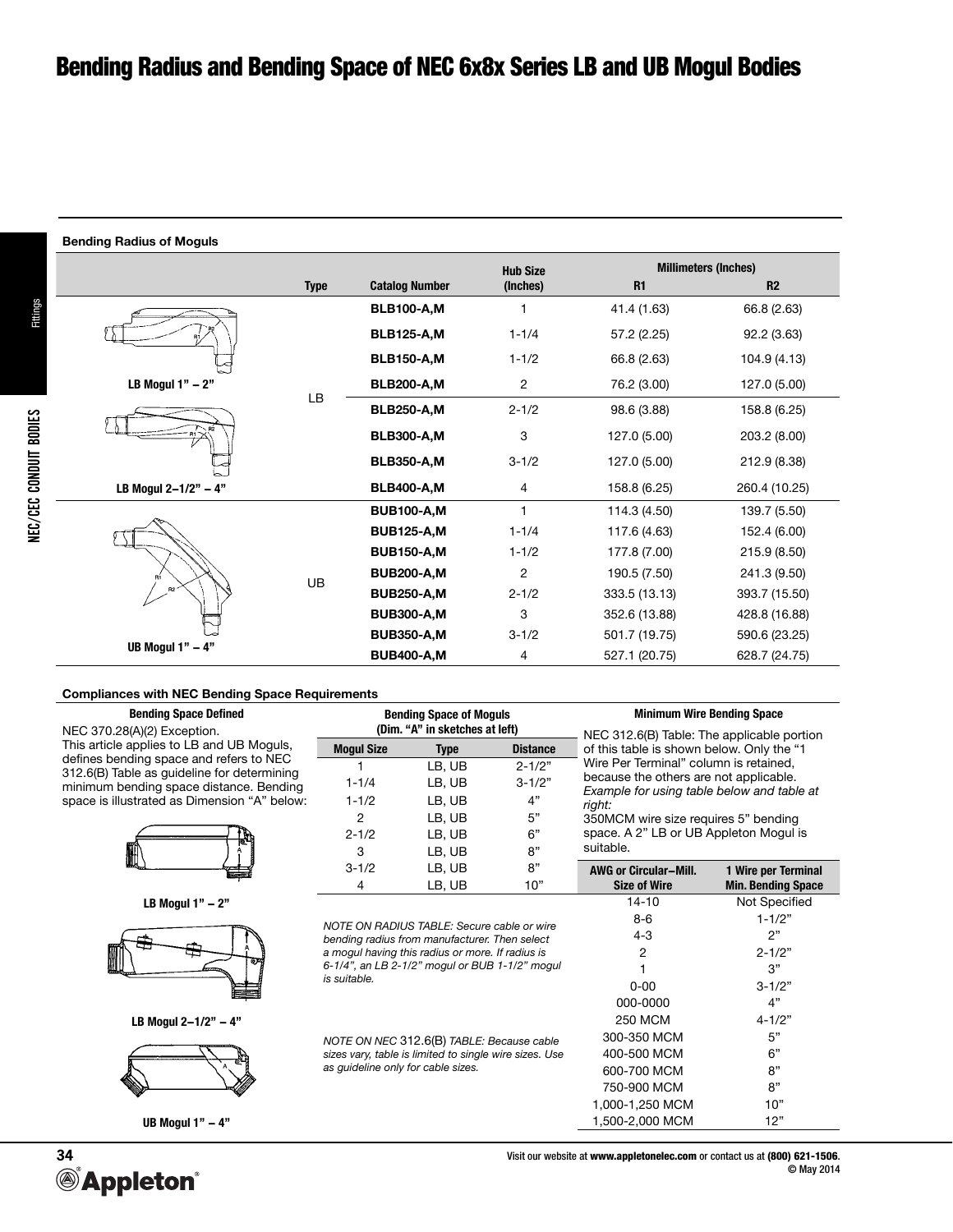#### **Bending Radius of Moguls**

|                      |             |                       | <b>Hub Size</b> | <b>Millimeters (Inches)</b> |                |  |  |
|----------------------|-------------|-----------------------|-----------------|-----------------------------|----------------|--|--|
|                      | <b>Type</b> | <b>Catalog Number</b> | (Inches)        | R1                          | R <sub>2</sub> |  |  |
|                      |             | <b>BLB100-A,M</b>     | 1               | 41.4 (1.63)                 | 66.8 (2.63)    |  |  |
|                      |             | <b>BLB125-A,M</b>     | $1 - 1/4$       | 57.2 (2.25)                 | 92.2 (3.63)    |  |  |
|                      |             | <b>BLB150-A,M</b>     | $1 - 1/2$       | 66.8 (2.63)                 | 104.9 (4.13)   |  |  |
| LB Mogul $1" - 2"$   |             | <b>BLB200-A,M</b>     | 2               | 76.2 (3.00)                 | 127.0 (5.00)   |  |  |
|                      | LB          | <b>BLB250-A,M</b>     | $2 - 1/2$       | 98.6 (3.88)                 | 158.8 (6.25)   |  |  |
|                      |             | <b>BLB300-A,M</b>     | 3               | 127.0 (5.00)                | 203.2 (8.00)   |  |  |
|                      |             | <b>BLB350-A,M</b>     | $3 - 1/2$       | 127.0 (5.00)                | 212.9 (8.38)   |  |  |
| LB Mogul 2-1/2" - 4" |             | <b>BLB400-A,M</b>     | 4               | 158.8 (6.25)                | 260.4 (10.25)  |  |  |
|                      |             | <b>BUB100-A,M</b>     | 1               | 114.3 (4.50)                | 139.7 (5.50)   |  |  |
|                      |             | <b>BUB125-A,M</b>     | $1 - 1/4$       | 117.6 (4.63)                | 152.4 (6.00)   |  |  |
|                      |             | <b>BUB150-A,M</b>     | $1 - 1/2$       | 177.8 (7.00)                | 215.9 (8.50)   |  |  |
|                      |             | <b>BUB200-A,M</b>     | $\overline{2}$  | 190.5 (7.50)                | 241.3 (9.50)   |  |  |
| R <sub>2</sub>       | UB          | <b>BUB250-A,M</b>     | $2 - 1/2$       | 333.5 (13.13)               | 393.7 (15.50)  |  |  |
|                      |             | <b>BUB300-A,M</b>     | 3               | 352.6 (13.88)               | 428.8 (16.88)  |  |  |
|                      |             | <b>BUB350-A,M</b>     | $3 - 1/2$       | 501.7 (19.75)               | 590.6 (23.25)  |  |  |
| UB Mogul $1" - 4"$   |             | <b>BUB400-A,M</b>     | 4               | 527.1 (20.75)               | 628.7 (24.75)  |  |  |

#### **Compliances with NEC Bending Space Requirements**

| <b>Bending Space Defined</b>                                                           |                                                  | <b>Bending Space of Moguls</b>                         |                 | <b>Minimum Wire Bending Space</b>                                                       |                           |  |  |
|----------------------------------------------------------------------------------------|--------------------------------------------------|--------------------------------------------------------|-----------------|-----------------------------------------------------------------------------------------|---------------------------|--|--|
| NEC 370.28(A)(2) Exception.                                                            |                                                  | (Dim. "A" in sketches at left)                         |                 | NEC 312.6(B) Table: The applicable portion<br>of this table is shown below. Only the "1 |                           |  |  |
| This article applies to LB and UB Moguls,                                              | <b>Mogul Size</b>                                | <b>Type</b>                                            | <b>Distance</b> |                                                                                         |                           |  |  |
| defines bending space and refers to NEC                                                |                                                  | LB, UB                                                 | $2 - 1/2"$      | Wire Per Terminal" column is retained,                                                  |                           |  |  |
| 312.6(B) Table as guideline for determining<br>minimum bending space distance. Bending | $1 - 1/4$                                        | LB, UB                                                 | $3 - 1/2"$      | because the others are not applicable.                                                  |                           |  |  |
| space is illustrated as Dimension "A" below:                                           | $1 - 1/2$                                        | LB, UB                                                 | 4"              | Example for using table below and table at<br>right:                                    |                           |  |  |
|                                                                                        | $\overline{2}$                                   | LB, UB                                                 | 5"              | 350MCM wire size requires 5" bending                                                    |                           |  |  |
|                                                                                        | $2 - 1/2$                                        | LB, UB                                                 | 6"              | space. A 2" LB or UB Appleton Mogul is                                                  |                           |  |  |
|                                                                                        | 3                                                | LB, UB                                                 | 8"              | suitable.                                                                               |                           |  |  |
|                                                                                        | $3 - 1/2$                                        | LB, UB                                                 | 8"              | <b>AWG or Circular-Mill.</b>                                                            | 1 Wire per Terminal       |  |  |
|                                                                                        | 4                                                | LB, UB                                                 | 10"             | <b>Size of Wire</b>                                                                     | <b>Min. Bending Space</b> |  |  |
| LB Mogul $1" - 2"$                                                                     |                                                  |                                                        |                 | $14 - 10$                                                                               | Not Specified             |  |  |
|                                                                                        | NOTE ON RADIUS TABLE: Secure cable or wire       |                                                        |                 | $8 - 6$                                                                                 | $1 - 1/2"$                |  |  |
|                                                                                        | bending radius from manufacturer. Then select    |                                                        |                 | $4 - 3$                                                                                 | 2"                        |  |  |
|                                                                                        | a mogul having this radius or more. If radius is |                                                        |                 | 2                                                                                       | $2 - 1/2"$                |  |  |
|                                                                                        | 6-1/4", an LB 2-1/2" mogul or BUB 1-1/2" mogul   |                                                        |                 |                                                                                         | 3"                        |  |  |
|                                                                                        | is suitable.                                     |                                                        |                 | $0 - 00$                                                                                | $3 - 1/2"$                |  |  |
|                                                                                        |                                                  |                                                        |                 | 000-0000                                                                                | 4"                        |  |  |
| LB Mogul 2-1/2" - 4"                                                                   |                                                  |                                                        |                 | <b>250 MCM</b>                                                                          | $4 - 1/2"$                |  |  |
|                                                                                        | NOTE ON NEC 312.6(B) TABLE: Because cable        |                                                        |                 | 300-350 MCM                                                                             | 5"                        |  |  |
|                                                                                        |                                                  | sizes vary, table is limited to single wire sizes. Use |                 | 400-500 MCM                                                                             | 6"                        |  |  |
|                                                                                        | as guideline only for cable sizes.               |                                                        |                 | 600-700 MCM                                                                             | 8"                        |  |  |
|                                                                                        |                                                  |                                                        |                 | 750-900 MCM                                                                             | 8"                        |  |  |
|                                                                                        |                                                  |                                                        |                 | 1,000-1,250 MCM                                                                         | 10"                       |  |  |

**UB Mogul 1" – 4"** 1,500-2,000 MCM 12"

**34**<br><sup>*Appleton*</sup>

Visit our website at www.appletonelec.com or contact us at (800) 621-1506. © May 2014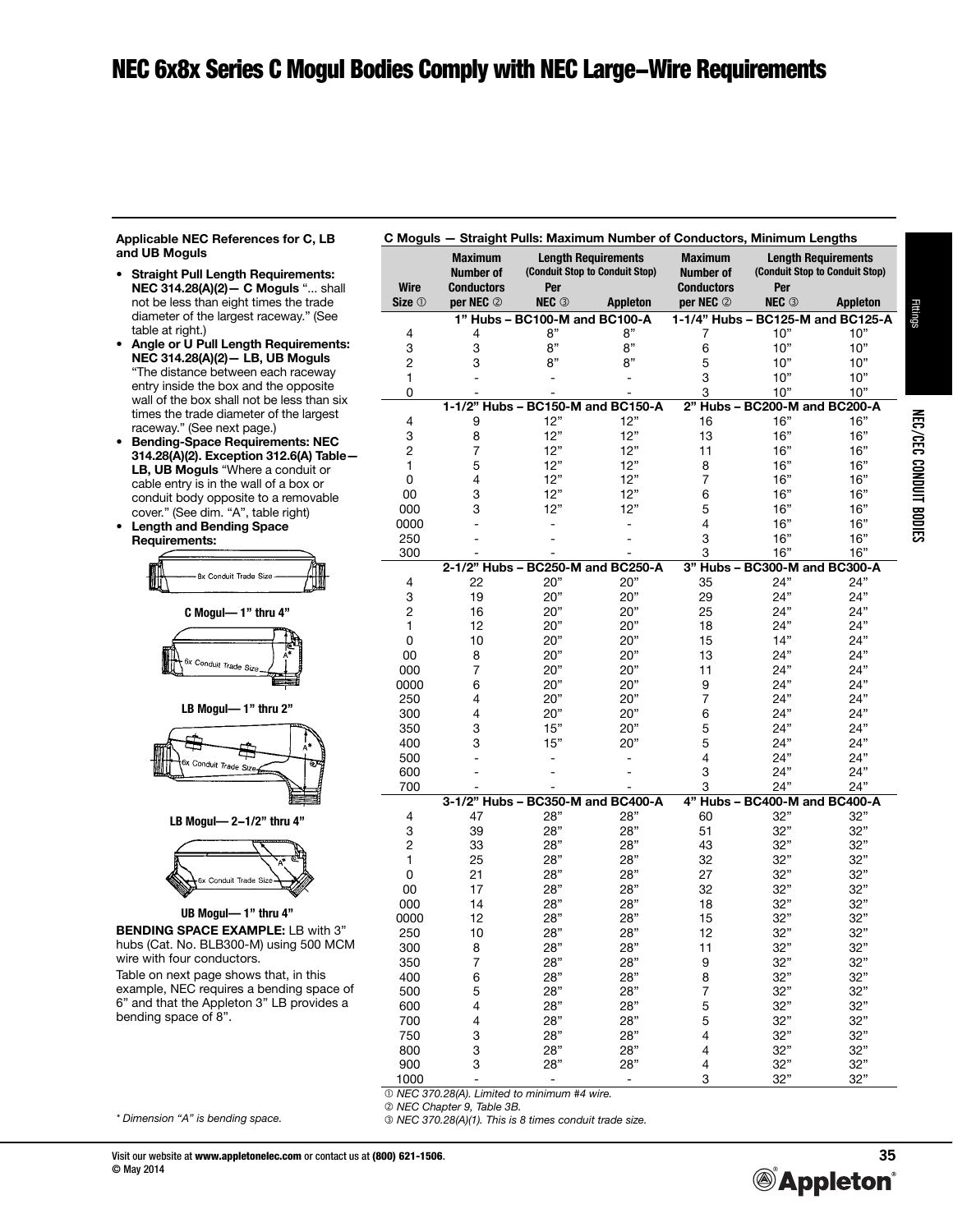**Applicable NEC References for C, LB and UB Moguls**

- **Straight Pull Length Requirements: NEC 314.28(A)(2)— C Moguls** "... shall not be less than eight times the trade diameter of the largest raceway." (See table at right.)
- **Angle or U Pull Length Requirements: NEC 314.28(A)(2)— LB, UB Moguls** "The distance between each raceway entry inside the box and the opposite wall of the box shall not be less than six times the trade diameter of the largest raceway." (See next page.)
- **Bending-Space Requirements: NEC 314.28(A)(2). Exception 312.6(A) Table— LB, UB Moguls** "Where a conduit or cable entry is in the wall of a box or conduit body opposite to a removable cover." (See dim. "A", table right)
- **Length and Bending Space Requirements:**

| 8x Conduit Trade Size |  |
|-----------------------|--|



**LB Mogul— 1" thru 2"**



**LB Mogul— 2-1/2" thru 4"**

# 6x Conduit Trade Siz **UB Mogul— 1" thru 4"**

**BENDING SPACE EXAMPLE:** LB with 3" hubs (Cat. No. BLB300-M) using 500 MCM wire with four conductors.

Table on next page shows that, in this example, NEC requires a bending space of 6" and that the Appleton 3" LB provides a bending space of 8".

|                | <b>Maximum</b><br>Number of |                                   | <b>Length Requirements</b><br>(Conduit Stop to Conduit Stop) | <b>Maximum</b><br>Number of | <b>Length Requirements</b><br>(Conduit Stop to Conduit Stop) |                 |  |
|----------------|-----------------------------|-----------------------------------|--------------------------------------------------------------|-----------------------------|--------------------------------------------------------------|-----------------|--|
| Wire           | <b>Conductors</b>           | Per                               |                                                              | <b>Conductors</b>           | Per                                                          |                 |  |
| Size $0$       | per NEC $@$                 | <b>NEC</b> <sup>3</sup>           | <b>Appleton</b>                                              | per NEC $@$                 | <b>NEC 3</b>                                                 | <b>Appleton</b> |  |
|                |                             | 1" Hubs - BC100-M and BC100-A     |                                                              |                             | 1-1/4" Hubs - BC125-M and BC125-A                            |                 |  |
| 4              | 4                           | 8"                                | 8"                                                           | 7                           | 10"                                                          | 10"             |  |
| 3              | 3                           | $8"$                              | 8"                                                           | 6                           | 10"                                                          | 10"             |  |
| $\overline{c}$ | 3                           | 8"                                | 8"                                                           | 5                           | 10"                                                          | 10"             |  |
| 1              |                             |                                   |                                                              | 3                           | 10"                                                          | 10"             |  |
| 0              |                             |                                   |                                                              | 3                           | 10"                                                          | 10"             |  |
|                |                             |                                   | 1-1/2" Hubs - BC150-M and BC150-A                            |                             | 2" Hubs - BC200-M and BC200-A                                |                 |  |
| 4              | 9                           | 12"                               | 12"                                                          | 16                          | 16"                                                          | 16"             |  |
| 3              | 8                           | 12"                               | 12"                                                          | 13                          | 16"                                                          | 16"             |  |
| 2              | 7                           | 12"                               | 12"                                                          | 11                          | 16"                                                          | 16"             |  |
| 1              | 5                           | 12"                               | 12"                                                          | 8                           | 16"                                                          | 16"             |  |
| 0              | 4                           | 12"                               | 12"                                                          | 7                           | 16"                                                          | 16"             |  |
| 00             | 3                           | 12"                               | 12"                                                          | 6                           | 16"                                                          | 16"             |  |
| 000            | 3                           | 12"                               | 12"                                                          | 5                           | 16"                                                          | 16"             |  |
| 0000           |                             |                                   | $\overline{\phantom{0}}$                                     | 4                           | 16"                                                          | 16"             |  |
| 250            |                             |                                   |                                                              | 3                           | 16"                                                          | 16"             |  |
| 300            |                             |                                   |                                                              | 3                           | 16"                                                          | 16"             |  |
|                |                             |                                   | 2-1/2" Hubs - BC250-M and BC250-A                            |                             | 3" Hubs - BC300-M and BC300-A                                |                 |  |
| 4              | 22                          | 20"                               | 20"                                                          | 35                          | 24"                                                          | 24"             |  |
| 3              | 19                          | 20"                               | 20"                                                          | 29                          | 24"                                                          | 24"             |  |
| 2              | 16                          | 20"                               | 20"                                                          | 25                          | 24"                                                          | 24"             |  |
| 1              | 12                          | 20"                               | 20"                                                          | 18                          | 24"                                                          | 24"             |  |
| 0              | 10                          | 20"                               | 20"                                                          | 15                          | 14"                                                          | 24"             |  |
| 00             | 8                           | 20"                               | 20"                                                          | 13                          | 24"                                                          | 24"             |  |
| 000            | 7                           | 20"                               | 20"                                                          | 11                          | 24"                                                          | 24"             |  |
| 0000           | 6                           | 20"                               | 20"                                                          | 9                           | 24"                                                          | 24"             |  |
| 250            | 4                           | 20"                               | 20"                                                          | 7                           | 24"                                                          | 24"             |  |
| 300            | 4                           | 20"                               | 20"                                                          | 6                           | 24"                                                          | 24"             |  |
| 350            | 3                           | 15"                               | 20"                                                          | 5                           | 24"                                                          | 24"             |  |
|                |                             |                                   |                                                              |                             | 24"                                                          | 24"             |  |
| 400            | 3                           | 15"                               | 20"                                                          | 5                           |                                                              | 24"             |  |
| 500            |                             |                                   |                                                              | 4                           | 24"                                                          |                 |  |
| 600            |                             |                                   |                                                              | 3                           | 24"<br>24"                                                   | 24"             |  |
| 700            |                             | 3-1/2" Hubs - BC350-M and BC400-A |                                                              | 3                           | 4" Hubs - BC400-M and BC400-A                                | 24"             |  |
| 4              | 47                          | 28"                               | 28"                                                          | 60                          | 32"                                                          | 32"             |  |
| 3              | 39                          | 28"                               | 28"                                                          | 51                          | 32"                                                          | 32"             |  |
| 2              | 33                          | 28"                               | 28"                                                          | 43                          | 32"                                                          | 32"             |  |
| 1              | 25                          | 28"                               | 28"                                                          | 32                          | 32"                                                          | 32"             |  |
| 0              | 21                          | 28"                               | 28"                                                          | 27                          | 32"                                                          | 32"             |  |
|                | 17                          | 28"                               | 28"                                                          | 32                          | 32"                                                          | 32"             |  |
| 00             | 14                          |                                   | 28"                                                          | 18                          | 32"                                                          | 32"             |  |
| 000<br>0000    |                             | 28"                               |                                                              |                             | 32"                                                          |                 |  |
| 250            | 12                          | 28"<br>28"                        | 28"<br>28"                                                   | 15<br>12                    | 32"                                                          | 32"<br>32"      |  |
|                | 10                          |                                   |                                                              |                             |                                                              |                 |  |
| 300            | 8                           | 28"                               | 28"                                                          | 11                          | 32"                                                          | 32"             |  |
| 350            | 7                           | 28"                               | 28"                                                          | 9                           | 32"                                                          | 32"             |  |
| 400            | 6                           | 28"                               | 28"                                                          | 8                           | 32"                                                          | 32"             |  |
| 500            | 5                           | 28"                               | 28"                                                          | 7                           | 32"                                                          | 32"             |  |
| 600            | $\overline{4}$              | 28"                               | 28"                                                          | 5                           | 32"                                                          | 32"             |  |
| 700            | 4                           | 28"                               | 28"                                                          | 5                           | 32"                                                          | 32"             |  |
| 750            | 3                           | 28"                               | 28"                                                          | 4                           | 32"                                                          | 32"             |  |
| 800            | 3                           | 28"                               | 28"                                                          | 4                           | 32"                                                          | 32"             |  |
| 900            | 3                           | 28"                               | 28"                                                          | 4                           | 32"                                                          | 32"             |  |
| 1000           |                             |                                   | $\overline{\phantom{0}}$                                     | 3                           | 32"                                                          | 32"             |  |

 *NEC 370.28(A). Limited to minimum #4 wire.* 

 *NEC Chapter 9, Table 3B. NEC 370.28(A)(1). This is 8 times conduit trade size.*

*\* Dimension "A" is bending space.*

Fittings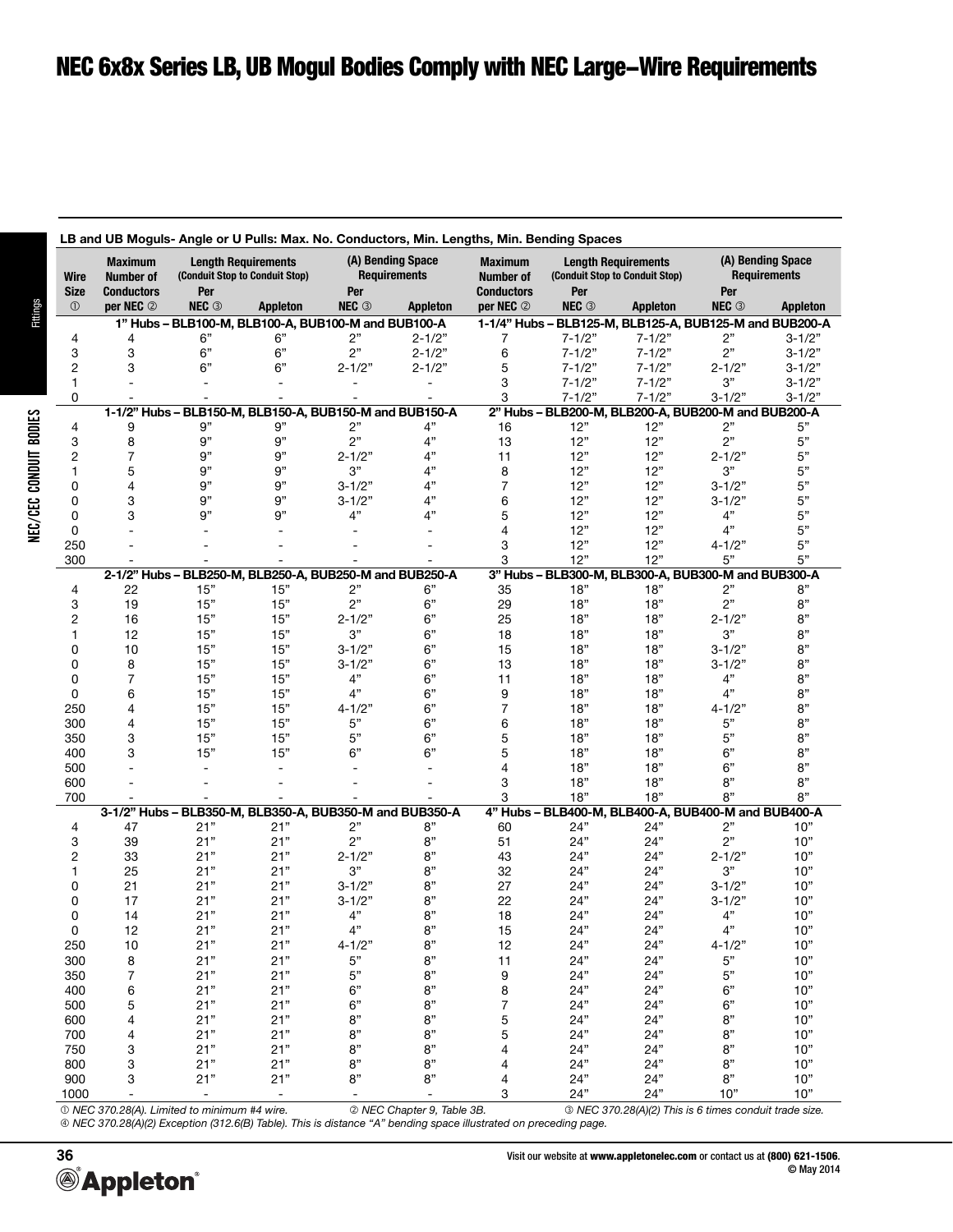## NEC 6x8x Series LB, UB Mogul Bodies Comply with NEC Large-Wire Requirements

|                     |                                    |                                                              | LB and UB Moguls- Angle or U Pulls: Max. No. Conductors, Min. Lengths, Min. Bending Spaces |                                          |                          |                                                                                             |            |                                                            |                                          |                 |  |
|---------------------|------------------------------------|--------------------------------------------------------------|--------------------------------------------------------------------------------------------|------------------------------------------|--------------------------|---------------------------------------------------------------------------------------------|------------|------------------------------------------------------------|------------------------------------------|-----------------|--|
| Wire                | <b>Maximum</b><br><b>Number of</b> | <b>Length Requirements</b><br>(Conduit Stop to Conduit Stop) |                                                                                            | (A) Bending Space<br><b>Requirements</b> |                          | <b>Maximum</b><br><b>Length Requirements</b><br>(Conduit Stop to Conduit Stop)<br>Number of |            |                                                            | (A) Bending Space<br><b>Requirements</b> |                 |  |
| <b>Size</b>         | <b>Conductors</b>                  | Per                                                          |                                                                                            | Per                                      |                          | <b>Conductors</b>                                                                           | Per        |                                                            | Per                                      |                 |  |
| $\circled{0}$       | per NEC 2                          | <b>NEC 3</b>                                                 | <b>Appleton</b>                                                                            | <b>NEC 3</b>                             | Appleton                 | per NEC 2                                                                                   | NEC 3      | <b>Appleton</b>                                            | <b>NEC 3</b>                             | <b>Appleton</b> |  |
|                     |                                    |                                                              | 1" Hubs - BLB100-M, BLB100-A, BUB100-M and BUB100-A                                        |                                          |                          |                                                                                             |            | 1-1/4" Hubs - BLB125-M, BLB125-A, BUB125-M and BUB200-A    |                                          |                 |  |
| 4                   | 4                                  | 6"                                                           | 6"                                                                                         | 2"                                       | $2 - 1/2"$               | 7                                                                                           | $7 - 1/2"$ | $7 - 1/2"$                                                 | 2"                                       | $3 - 1/2"$      |  |
| 3                   | 3                                  | 6"                                                           | 6"                                                                                         | 2"                                       | $2 - 1/2"$               | 6                                                                                           | $7 - 1/2"$ | $7 - 1/2"$                                                 | 2"                                       | $3 - 1/2"$      |  |
| 2                   | 3                                  | 6"                                                           | 6"                                                                                         | $2 - 1/2"$                               | $2 - 1/2"$               | 5                                                                                           | $7 - 1/2"$ | $7 - 1/2"$                                                 | $2 - 1/2"$                               | $3 - 1/2"$      |  |
| 1                   |                                    |                                                              |                                                                                            |                                          | $\sim$                   | 3                                                                                           | $7 - 1/2"$ | $7 - 1/2"$                                                 | 3"                                       | $3 - 1/2"$      |  |
| 0                   |                                    |                                                              | 1-1/2" Hubs - BLB150-M. BLB150-A. BUB150-M and BUB150-A                                    |                                          |                          | 3                                                                                           | $7 - 1/2"$ | $7 - 1/2"$                                                 | $3 - 1/2"$                               | 3-1/2"          |  |
| 4                   | 9                                  | 9"                                                           | 9"                                                                                         | 2"                                       | 4"                       | 16                                                                                          | 12"        | 2" Hubs - BLB200-M, BLB200-A, BUB200-M and BUB200-A<br>12" | 2"                                       | 5"              |  |
| 3                   | 8                                  | 9"                                                           | 9"                                                                                         | 2"                                       | 4"                       | 13                                                                                          | 12"        | 12"                                                        | 2"                                       | 5"              |  |
| $\overline{c}$      | 7                                  | 9"                                                           | 9"                                                                                         | $2 - 1/2"$                               | 4"                       | 11                                                                                          | 12"        | 12"                                                        | $2 - 1/2"$                               | 5"              |  |
| 1                   | 5                                  | 9"                                                           | 9"                                                                                         | 3"                                       | 4"                       | 8                                                                                           | 12"        | 12"                                                        | 3"                                       | 5"              |  |
| 0                   | 4                                  | 9"                                                           | 9"                                                                                         | $3 - 1/2"$                               | 4"                       | 7                                                                                           | 12"        | 12"                                                        | $3 - 1/2"$                               | 5"              |  |
| 0                   | 3                                  | 9"                                                           | 9"                                                                                         | $3 - 1/2"$                               | 4"                       | 6                                                                                           | 12"        | 12"                                                        | $3 - 1/2"$                               | 5"              |  |
| 0                   | 3                                  | 9"                                                           | 9"                                                                                         | 4"                                       | 4"                       | 5                                                                                           | 12"        | 12"                                                        | 4"                                       | 5"              |  |
| 0                   |                                    |                                                              | $\blacksquare$                                                                             |                                          | $\blacksquare$           | 4                                                                                           | 12"        | 12"                                                        | 4"                                       | 5"              |  |
| 250                 |                                    |                                                              |                                                                                            |                                          |                          | 3                                                                                           | 12"        | 12"                                                        | $4 - 1/2"$                               | 5"              |  |
| 300                 |                                    |                                                              |                                                                                            |                                          |                          | 3                                                                                           | 12"        | 12"                                                        | 5"                                       | 5"              |  |
|                     |                                    |                                                              | 2-1/2" Hubs - BLB250-M, BLB250-A, BUB250-M and BUB250-A                                    |                                          |                          |                                                                                             |            | 3" Hubs - BLB300-M, BLB300-A, BUB300-M and BUB300-A        |                                          |                 |  |
| 4                   | 22                                 | 15"                                                          | 15"                                                                                        | 2"                                       | 6"                       | 35                                                                                          | 18"        | 18"                                                        | 2"                                       | 8"              |  |
| 3                   | 19                                 | 15"                                                          | 15"                                                                                        | 2"                                       | 6"                       | 29                                                                                          | 18"        | 18"                                                        | 2"                                       | 8"              |  |
| $\overline{c}$      | 16                                 | 15"                                                          | 15"                                                                                        | $2 - 1/2"$                               | 6"                       | 25                                                                                          | 18"        | 18"                                                        | $2 - 1/2"$                               | 8"              |  |
| 1                   | 12                                 | 15"                                                          | 15"                                                                                        | 3"                                       | 6"                       | 18                                                                                          | 18"        | 18"                                                        | 3"                                       | 8"              |  |
| 0                   | 10                                 | 15"                                                          | 15"                                                                                        | $3 - 1/2"$                               | 6"                       | 15                                                                                          | 18"        | 18"                                                        | $3 - 1/2"$                               | 8"              |  |
| 0                   | 8                                  | 15"                                                          | 15"                                                                                        | $3 - 1/2"$                               | 6"                       | 13                                                                                          | 18"        | 18"                                                        | $3 - 1/2"$                               | 8"              |  |
| 0                   | $\overline{7}$                     | 15"                                                          | 15"                                                                                        | 4"                                       | 6"                       | 11                                                                                          | 18"        | 18"                                                        | 4"                                       | 8"              |  |
| 0                   | 6                                  | 15"                                                          | 15"                                                                                        | 4"                                       | 6"                       | 9                                                                                           | 18"        | 18"                                                        | 4"                                       | 8"              |  |
| 250                 | 4                                  | 15"                                                          | 15"                                                                                        | $4 - 1/2"$                               | 6"                       | $\overline{7}$                                                                              | 18"        | 18"                                                        | $4 - 1/2"$                               | 8"              |  |
| 300                 | 4                                  | 15"                                                          | 15"                                                                                        | 5"                                       | 6"                       | 6                                                                                           | 18"        | 18"                                                        | $5"$                                     | 8"              |  |
| 350                 | 3                                  | 15"                                                          | 15"                                                                                        | 5"                                       | 6"                       | 5                                                                                           | 18"        | 18"                                                        | 5"                                       | 8"              |  |
| 400                 | 3                                  | 15"                                                          | 15"                                                                                        | 6"                                       | 6"                       | 5                                                                                           | 18"        | 18"                                                        | 6"                                       | 8"              |  |
| 500                 |                                    | $\overline{\phantom{a}}$                                     | $\overline{\phantom{a}}$                                                                   |                                          | $\sim$                   | 4                                                                                           | 18"        | 18"                                                        | 6"                                       | 8"              |  |
| 600                 |                                    |                                                              |                                                                                            |                                          |                          | 3                                                                                           | 18"        | 18"                                                        | 8"                                       | 8"              |  |
| 700                 |                                    |                                                              |                                                                                            |                                          |                          | 3                                                                                           | 18"        | 18"                                                        | 8"                                       | 8"              |  |
|                     |                                    |                                                              | 3-1/2" Hubs - BLB350-M, BLB350-A, BUB350-M and BUB350-A                                    |                                          |                          |                                                                                             |            | 4" Hubs - BLB400-M, BLB400-A, BUB400-M and BUB400-A        |                                          |                 |  |
| 4                   | 47<br>39                           | 21"<br>21"                                                   | 21"<br>21"                                                                                 | 2"<br>2"                                 | 8"<br>8"                 | 60<br>51                                                                                    | 24"        | 24"<br>24"                                                 | 2"<br>2"                                 | 10"<br>10"      |  |
| 3<br>$\overline{c}$ | 33                                 | 21"                                                          | 21"                                                                                        | $2 - 1/2"$                               | 8"                       | 43                                                                                          | 24"<br>24" | 24"                                                        | $2 - 1/2"$                               | 10"             |  |
| 1                   | 25                                 | 21"                                                          | 21"                                                                                        | 3"                                       | 8"                       | 32                                                                                          | 24"        | 24"                                                        | $3"$                                     | 10"             |  |
| 0                   | 21                                 | 21"                                                          | 21"                                                                                        | $3 - 1/2"$                               | 8"                       | 27                                                                                          | 24"        | 24"                                                        | $3 - 1/2"$                               | 10"             |  |
| 0                   | 17                                 | 21"                                                          | 21"                                                                                        | $3 - 1/2"$                               | 8"                       | 22                                                                                          | 24"        | 24"                                                        | $3 - 1/2"$                               | 10"             |  |
| 0                   | 14                                 | 21"                                                          | 21"                                                                                        | 4"                                       | 8"                       | 18                                                                                          | 24"        | 24"                                                        | 4"                                       | 10"             |  |
| 0                   | 12                                 | 21"                                                          | 21"                                                                                        | 4"                                       | 8"                       | 15                                                                                          | 24"        | 24"                                                        | 4"                                       | 10"             |  |
| 250                 | 10                                 | 21"                                                          | 21"                                                                                        | $4 - 1/2"$                               | 8"                       | 12                                                                                          | 24"        | 24"                                                        | $4 - 1/2"$                               | 10"             |  |
| 300                 | 8                                  | 21"                                                          | 21"                                                                                        | 5"                                       | 8"                       | 11                                                                                          | 24"        | 24"                                                        | 5"                                       | 10"             |  |
| 350                 | $\overline{7}$                     | 21"                                                          | 21"                                                                                        | $5"$                                     | 8"                       | 9                                                                                           | 24"        | 24"                                                        | $5"$                                     | 10"             |  |
| 400                 | 6                                  | 21"                                                          | 21"                                                                                        | 6"                                       | 8"                       | 8                                                                                           | 24"        | 24"                                                        | 6"                                       | 10"             |  |
| 500                 | 5                                  | 21"                                                          | 21"                                                                                        | 6"                                       | $8"$                     | $\boldsymbol{7}$                                                                            | 24"        | 24"                                                        | $6"$                                     | 10"             |  |
| 600                 | 4                                  | 21"                                                          | 21"                                                                                        | 8"                                       | 8"                       | 5                                                                                           | 24"        | 24"                                                        | $8\mathrm{"}$                            | 10"             |  |
| 700                 | 4                                  | 21"                                                          | 21"                                                                                        | 8"                                       | 8"                       | 5                                                                                           | 24"        | 24"                                                        | $8\mathrm{"}$                            | 10"             |  |
| 750                 | 3                                  | 21"                                                          | 21"                                                                                        | $8"$                                     | $8"$                     | 4                                                                                           | 24"        | 24"                                                        | $8\mathrm{"}$                            | 10"             |  |
| 800                 | 3                                  | 21"                                                          | 21"                                                                                        | 8"                                       | 8"                       | 4                                                                                           | 24"        | 24"                                                        | 8"                                       | 10"             |  |
| 900                 | 3                                  | 21"                                                          | 21"                                                                                        | 8"                                       | 8"                       | 4                                                                                           | 24"        | 24"                                                        | 8"                                       | 10"             |  |
| 1000                | $\overline{\phantom{a}}$           | $\blacksquare$                                               | $\blacksquare$                                                                             | $\qquad \qquad \blacksquare$             | $\overline{\phantom{a}}$ | 3                                                                                           | 24"        | 24"                                                        | 10"                                      | 10"             |  |

 *NEC 370.28(A). Limited to minimum #4 wire. NEC Chapter 9, Table 3B. NEC 370.28(A)(2) This is 6 times conduit trade size. NEC 370.28(A)(2) Exception (312.6(B) Table). This is distance "A" bending space illustrated on preceding page.*

# NEC/CEC CONDUIT BODIES NEC/CEC CONDUIT BODIES

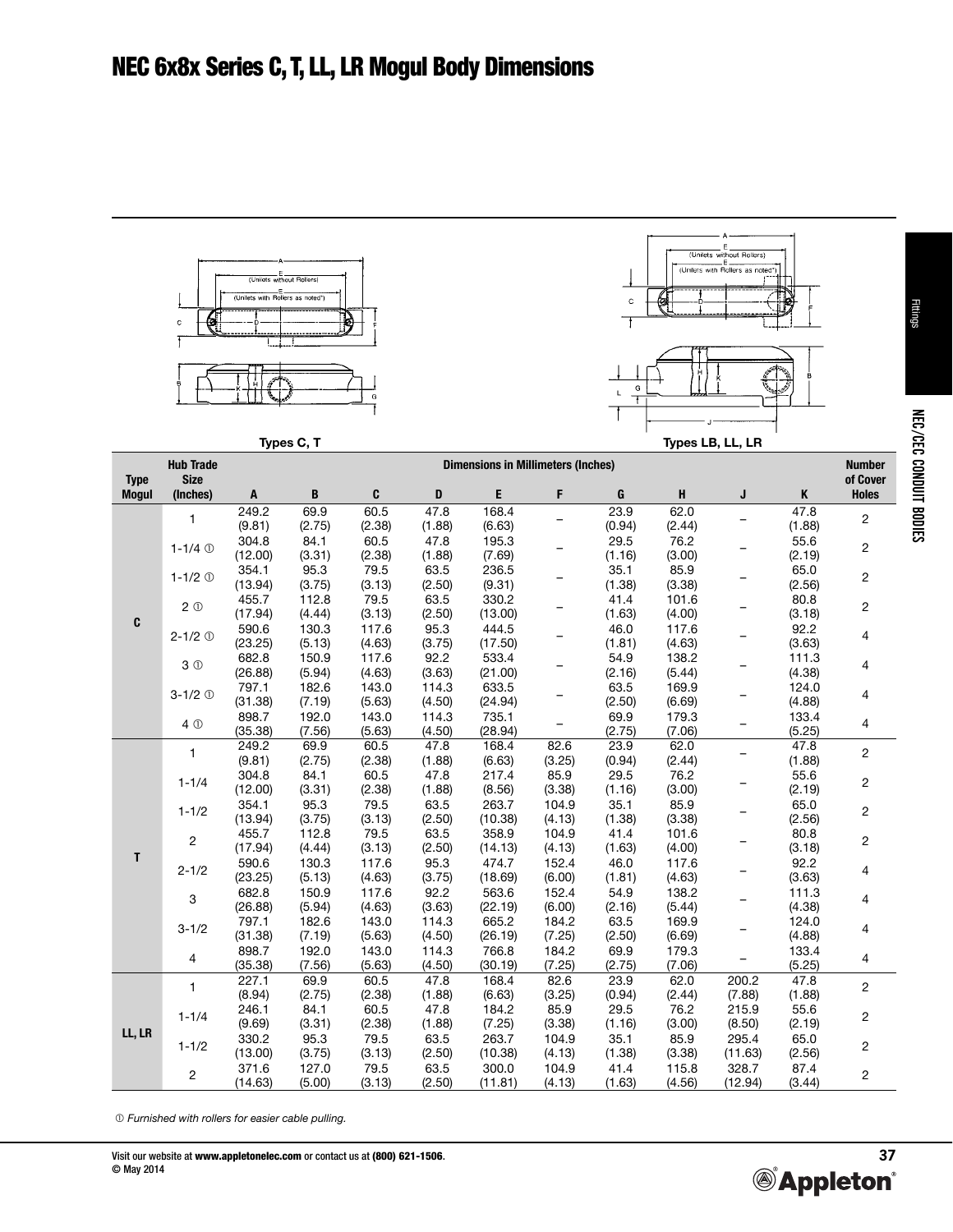

 *Furnished with rollers for easier cable pulling.*

NEC/CEC CONDUIT BODIES